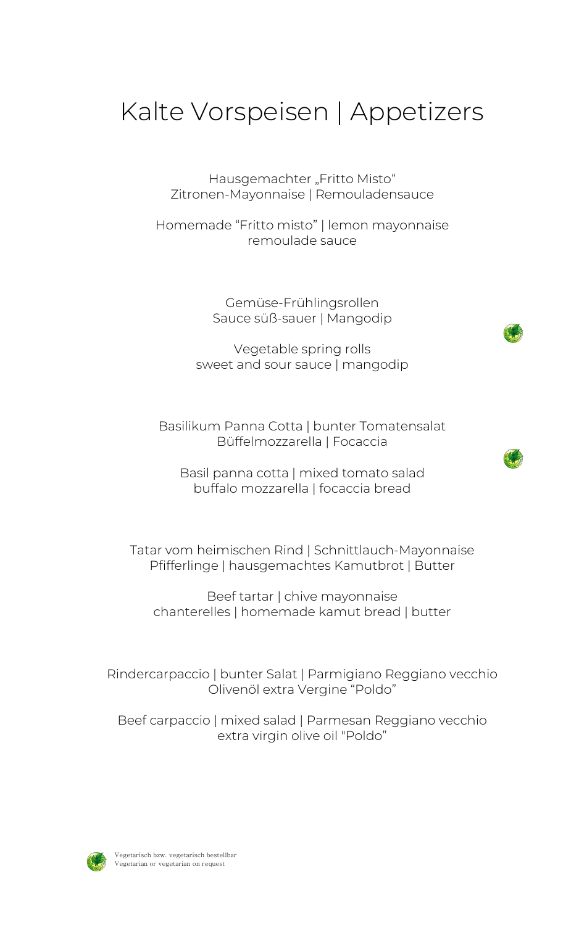# Kalte Vorspeisen | Appetizers

Hausgemachter "Fritto Misto" Zitronen-Mayonnaise | Remouladensauce

Homemade "Fritto misto" | lemon mayonnaise remoulade sauce

> Gemüse-Frühlingsrollen Sauce süß-sauer | Mangodip

Vegetable spring rolls sweet and sour sauce | mangodip

Basilikum Panna Cotta | bunter Tomatensalat Büffelmozzarella | Focaccia

Basil panna cotta | mixed tomato salad buffalo mozzarella | focaccia bread

Tatar vom heimischen Rind | Schnittlauch-Mayonnaise Pfifferlinge | hausgemachtes Kamutbrot | Butter

Beef tartar | chive mayonnaise chanterelles | homemade kamut bread | butter

Rindercarpaccio | bunter Salat | Parmigiano Reggiano vecchio Olivenöl extra Vergine "Poldo"

Beef carpaccio | mixed salad | Parmesan Reggiano vecchio extra virgin olive oil "Poldo"

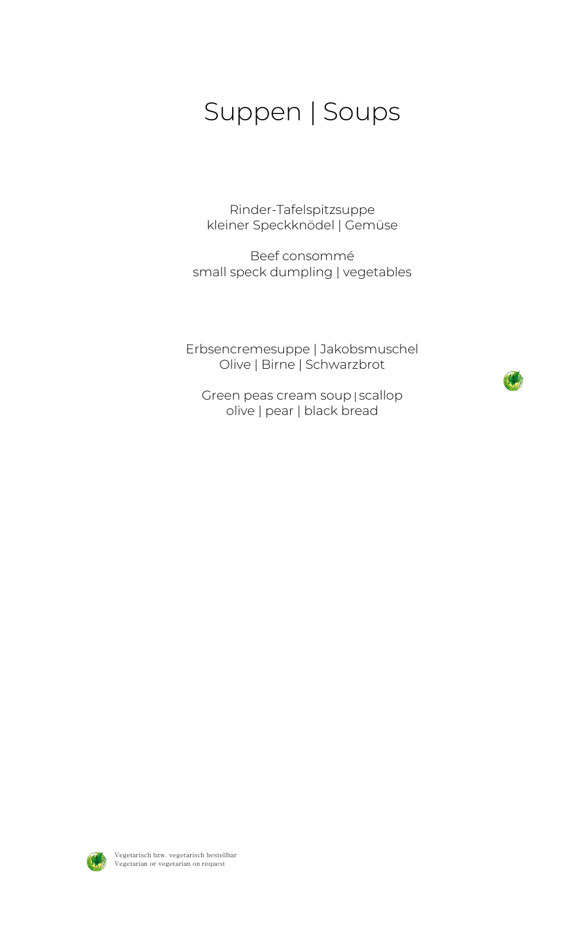## Suppen | Soups

Rinder-Tafelspitzsuppe kleiner Speckknödel | Gemüse

Beef consommé small speck dumpling | vegetables

Erbsencremesuppe | Jakobsmuschel Olive | Birne | Schwarzbrot

Green peas cream soup | scallop olive | pear | black bread



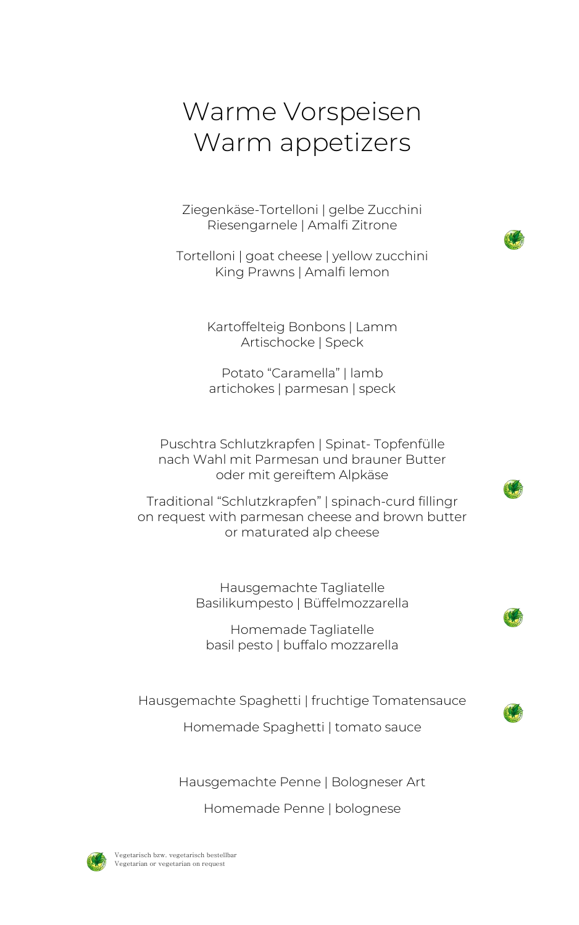# Warme Vorspeisen Warm appetizers

Ziegenkäse-Tortelloni | gelbe Zucchini Riesengarnele | Amalfi Zitrone

Tortelloni | goat cheese | yellow zucchini King Prawns | Amalfi lemon

> Kartoffelteig Bonbons | Lamm Artischocke | Speck

Potato "Caramella" | lamb artichokes | parmesan | speck

Puschtra Schlutzkrapfen | Spinat- Topfenfülle nach Wahl mit Parmesan und brauner Butter oder mit gereiftem Alpkäse

Traditional "Schlutzkrapfen" | spinach-curd fillingr on request with parmesan cheese and brown butter or maturated alp cheese

> Hausgemachte Tagliatelle Basilikumpesto | Büffelmozzarella

Homemade Tagliatelle basil pesto | buffalo mozzarella

Hausgemachte Spaghetti | fruchtige Tomatensauce

Homemade Spaghetti | tomato sauce

Hausgemachte Penne | Bologneser Art

Homemade Penne | bolognese



Vegetarisch bzw. vegetarisch bestellbar Vegetarian or vegetarian on request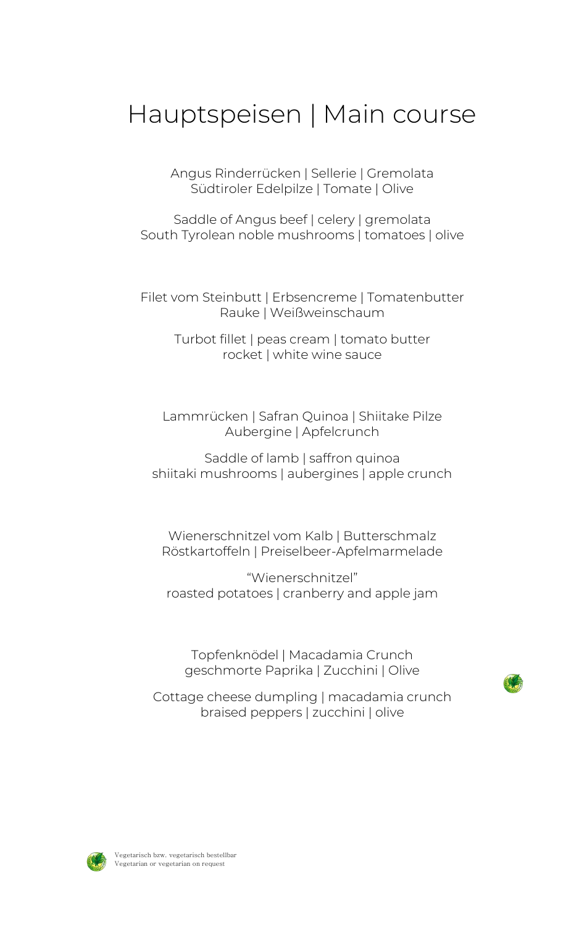## Hauptspeisen | Main course

Angus Rinderrücken | Sellerie | Gremolata Südtiroler Edelpilze | Tomate | Olive

Saddle of Angus beef | celery | gremolata South Tyrolean noble mushrooms | tomatoes | olive

Filet vom Steinbutt | Erbsencreme | Tomatenbutter Rauke | Weißweinschaum

> Turbot fillet | peas cream | tomato butter rocket | white wine sauce

Lammrücken | Safran Quinoa | Shiitake Pilze Aubergine | Apfelcrunch

Saddle of lamb | saffron quinoa shiitaki mushrooms | aubergines | apple crunch

Wienerschnitzel vom Kalb | Butterschmalz Röstkartoffeln | Preiselbeer-Apfelmarmelade

"Wienerschnitzel" roasted potatoes | cranberry and apple jam

Topfenknödel | Macadamia Crunch geschmorte Paprika | Zucchini | Olive

Cottage cheese dumpling | macadamia crunch braised peppers | zucchini | olive



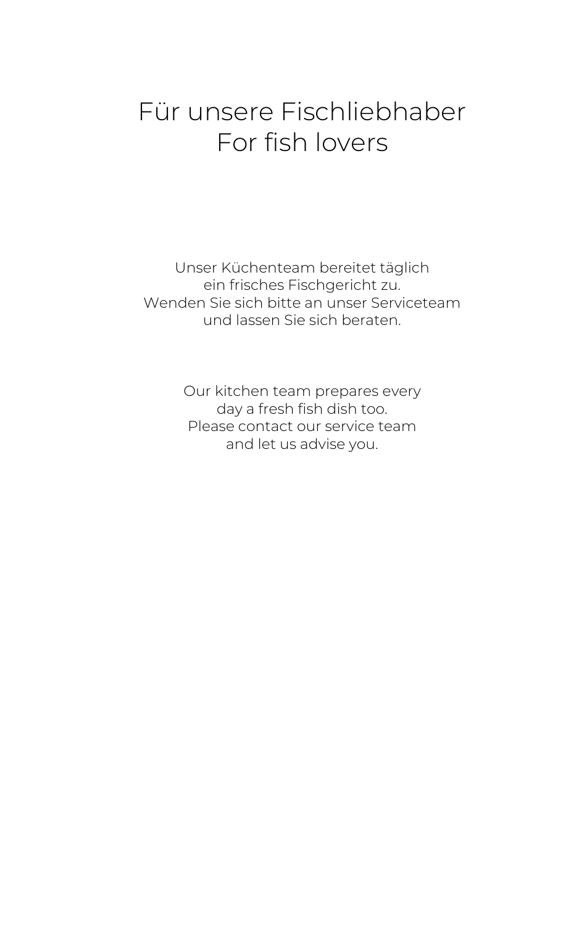## Für unsere Fischliebhaber For fish lovers

Unser Küchenteam bereitet täglich ein frisches Fischgericht zu. Wenden Sie sich bitte an unser Serviceteam und lassen Sie sich beraten.

> Our kitchen team prepares every day a fresh fish dish too. Please contact our service team and let us advise you.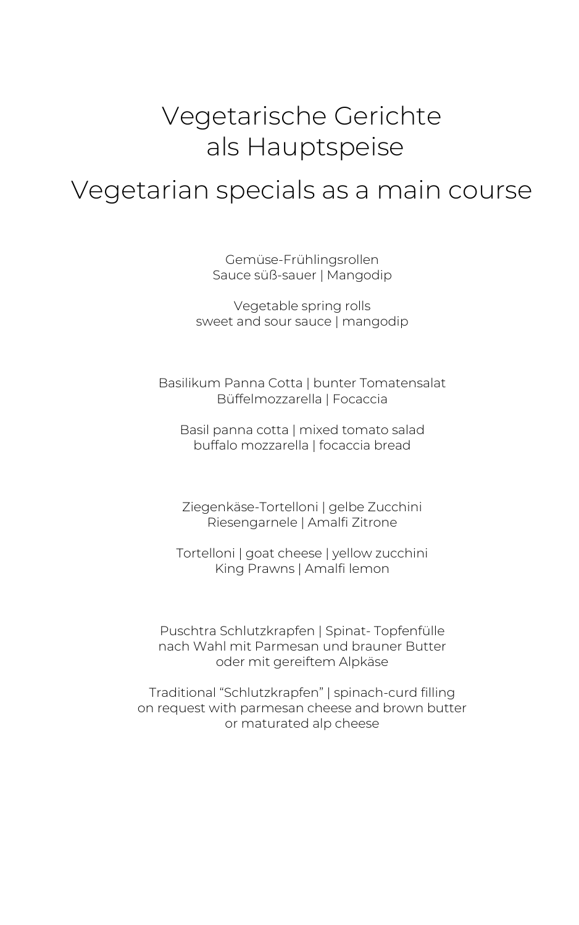## Vegetarische Gerichte als Hauptspeise

## Vegetarian specials as a main course

Gemüse-Frühlingsrollen Sauce süß-sauer | Mangodip

Vegetable spring rolls sweet and sour sauce | mangodip

Basilikum Panna Cotta | bunter Tomatensalat Büffelmozzarella | Focaccia

Basil panna cotta | mixed tomato salad buffalo mozzarella | focaccia bread

Ziegenkäse-Tortelloni | gelbe Zucchini Riesengarnele | Amalfi Zitrone

Tortelloni | goat cheese | yellow zucchini King Prawns | Amalfi lemon

Puschtra Schlutzkrapfen | Spinat- Topfenfülle nach Wahl mit Parmesan und brauner Butter oder mit gereiftem Alpkäse

Traditional "Schlutzkrapfen" | spinach-curd filling on request with parmesan cheese and brown butter or maturated alp cheese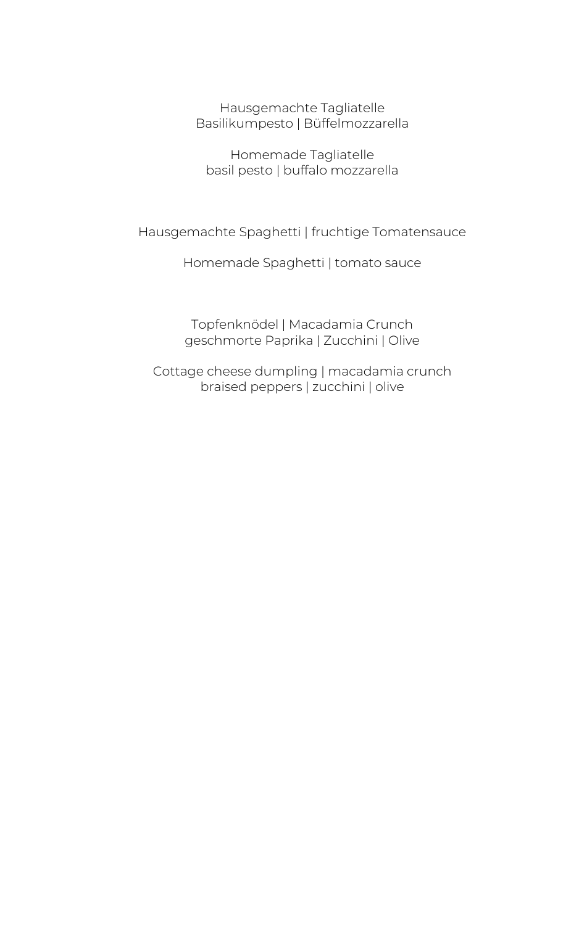Hausgemachte Tagliatelle Basilikumpesto | Büffelmozzarella

Homemade Tagliatelle basil pesto | buffalo mozzarella

Hausgemachte Spaghetti | fruchtige Tomatensauce

Homemade Spaghetti | tomato sauce

Topfenknödel | Macadamia Crunch geschmorte Paprika | Zucchini | Olive

Cottage cheese dumpling | macadamia crunch braised peppers | zucchini | olive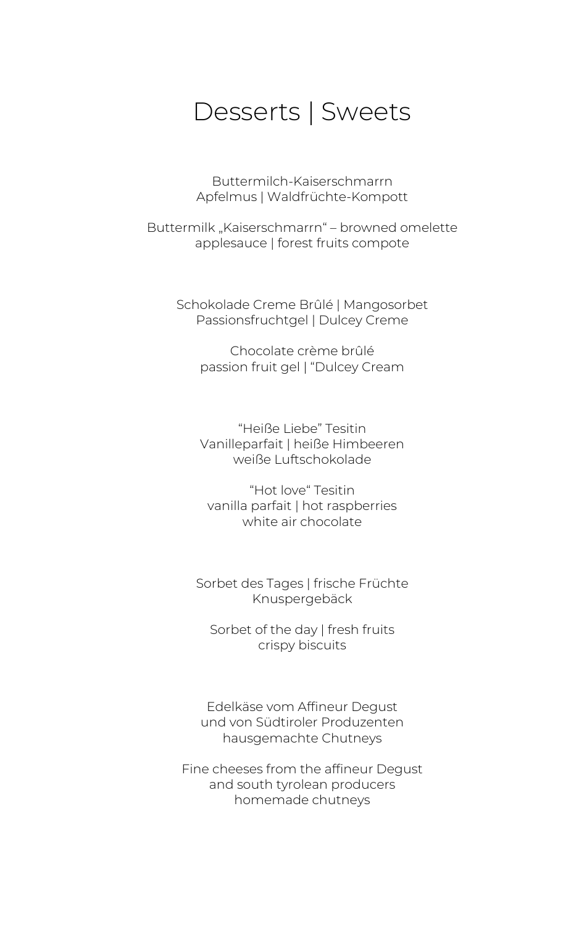### Desserts | Sweets

Buttermilch-Kaiserschmarrn Apfelmus | Waldfrüchte-Kompott

Buttermilk "Kaiserschmarrn" - browned omelette applesauce | forest fruits compote

Schokolade Creme Brûlé | Mangosorbet Passionsfruchtgel | Dulcey Creme

Chocolate crème brûlé passion fruit gel | "Dulcey Cream

"Heiße Liebe" Tesitin Vanilleparfait | heiße Himbeeren weiße Luftschokolade

"Hot love" Tesitin vanilla parfait | hot raspberries white air chocolate

Sorbet des Tages | frische Früchte Knuspergebäck

Sorbet of the day | fresh fruits crispy biscuits

Edelkäse vom Affineur Degust und von Südtiroler Produzenten hausgemachte Chutneys

Fine cheeses from the affineur Degust and south tyrolean producers homemade chutneys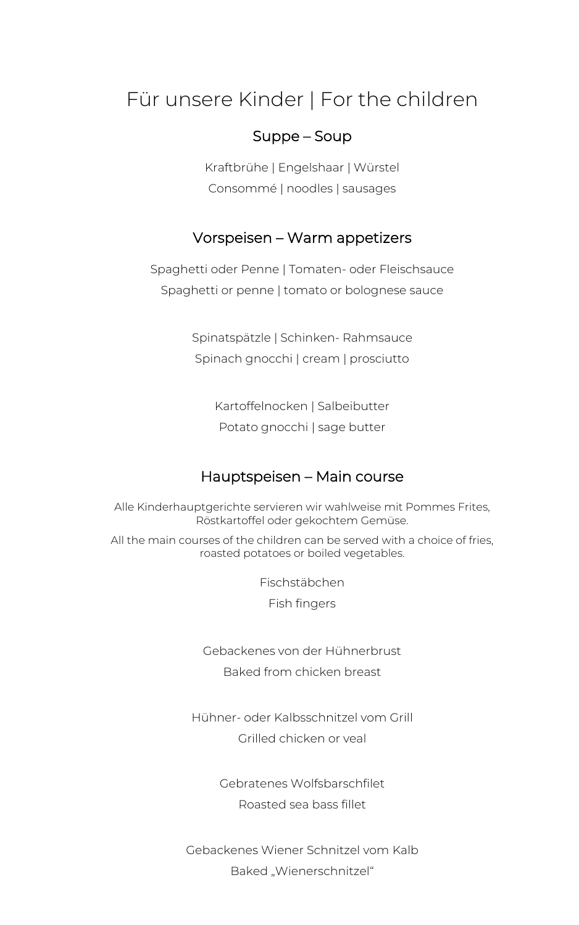### Für unsere Kinder | For the children

#### Suppe – Soup

Kraftbrühe | Engelshaar | Würstel Consommé | noodles | sausages

### Vorspeisen – Warm appetizers

Spaghetti oder Penne | Tomaten- oder Fleischsauce Spaghetti or penne | tomato or bolognese sauce

> Spinatspätzle | Schinken- Rahmsauce Spinach gnocchi | cream | prosciutto

> > Kartoffelnocken | Salbeibutter Potato gnocchi | sage butter

#### Hauptspeisen – Main course

Alle Kinderhauptgerichte servieren wir wahlweise mit Pommes Frites, Röstkartoffel oder gekochtem Gemüse.

All the main courses of the children can be served with a choice of fries, roasted potatoes or boiled vegetables.

Fischstäbchen

Fish fingers

Gebackenes von der Hühnerbrust Baked from chicken breast

Hühner- oder Kalbsschnitzel vom Grill Grilled chicken or veal

> Gebratenes Wolfsbarschfilet Roasted sea bass fillet

Gebackenes Wiener Schnitzel vom Kalb Baked "Wienerschnitzel"